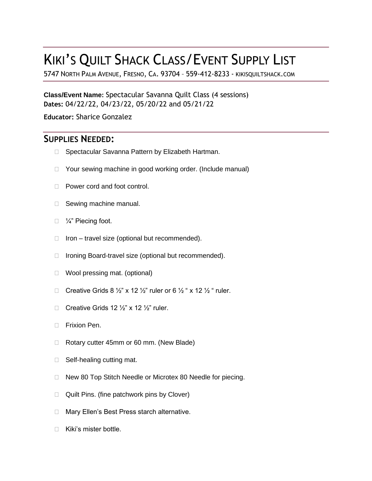# KIKI'S QUILT SHACK CLASS/EVENT SUPPLY LIST

5747 NORTH PALM AVENUE, FRESNO, CA. 93704 – 559-412-8233 - KIKISQUILTSHACK.COM

**Class/Event Name:** Spectacular Savanna Quilt Class (4 sessions) **Dates:** 04/22/22, 04/23/22, 05/20/22 and 05/21/22

**Educator:** Sharice Gonzalez

## **SUPPLIES NEEDED:**

- □ Spectacular Savanna Pattern by Elizabeth Hartman.
- □ Your sewing machine in good working order. (Include manual)
- □ Power cord and foot control.
- □ Sewing machine manual.
- □ ¼" Piecing foot.
- $\Box$  Iron travel size (optional but recommended).
- □ Ironing Board-travel size (optional but recommended).
- □ Wool pressing mat. (optional)
- Creative Grids 8  $\frac{1}{2}$ " x 12  $\frac{1}{2}$ " ruler or 6  $\frac{1}{2}$  " x 12  $\frac{1}{2}$ " ruler.
- Creative Grids 12  $\frac{1}{2}$ " x 12  $\frac{1}{2}$ " ruler.
- **Frixion Pen.**
- □ Rotary cutter 45mm or 60 mm. (New Blade)
- $\Box$  Self-healing cutting mat.
- □ New 80 Top Stitch Needle or Microtex 80 Needle for piecing.
- $\Box$  Quilt Pins. (fine patchwork pins by Clover)
- □ Mary Ellen's Best Press starch alternative.
- □ Kiki's mister bottle.